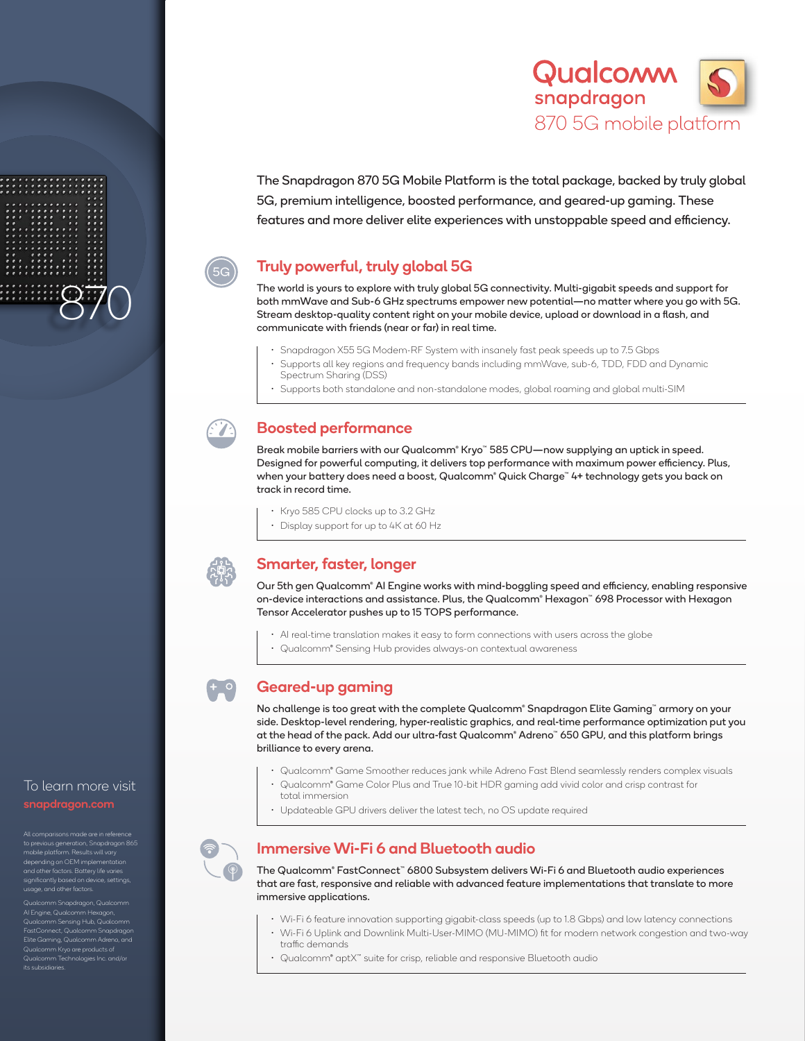

The Snapdragon 870 5G Mobile Platform is the total package, backed by truly global 5G, premium intelligence, boosted performance, and geared-up gaming. These features and more deliver elite experiences with unstoppable speed and efficiency.

# Truly powerful, truly global 5G

The world is yours to explore with truly global 5G connectivity. Multi-gigabit speeds and support for both mmWave and Sub-6 GHz spectrums empower new potential—no matter where you go with 5G. Stream desktop-quality content right on your mobile device, upload or download in a flash, and communicate with friends (near or far) in real time.

- Snapdragon X55 5G Modem-RF System with insanely fast peak speeds up to 7.5 Gbps
- Supports all key regions and frequency bands including mmWave, sub-6, TDD, FDD and Dynamic Spectrum Sharing (DSS)
- Supports both standalone and non-standalone modes, global roaming and global multi-SIM



## Boosted performance

Break mobile barriers with our Qualcomm® Kryo™ 585 CPU—now supplying an uptick in speed. Designed for powerful computing, it delivers top performance with maximum power efficiency. Plus, when your battery does need a boost, Qualcomm® Quick Charge™ 4+ technology gets you back on track in record time.

- Kryo 585 CPU clocks up to 3.2 GHz
- Display support for up to 4K at 60 Hz



- o

## Smarter, faster, longer

Our 5th gen Qualcomm® AI Engine works with mind-boggling speed and efficiency, enabling responsive on-device interactions and assistance. Plus, the Qualcomm® Hexagon™ 698 Processor with Hexagon Tensor Accelerator pushes up to 15 TOPS performance.

- AI real-time translation makes it easy to form connections with users across the globe
- Qualcomm® Sensing Hub provides always-on contextual awareness

## Geared-up gaming

No challenge is too great with the complete Qualcomm® Snapdragon Elite Gaming™ armory on your side. Desktop-level rendering, hyper-realistic graphics, and real-time performance optimization put you at the head of the pack. Add our ultra-fast Qualcomm® Adreno™ 650 GPU, and this platform brings brilliance to every arena.

- Qualcomm® Game Smoother reduces jank while Adreno Fast Blend seamlessly renders complex visuals
- Qualcomm® Game Color Plus and True 10-bit HDR gaming add vivid color and crisp contrast for total immersion
- Updateable GPU drivers deliver the latest tech, no OS update required

## to previous generation, Snapdragon 865 mobile platform. Results will vary ntly based on de e, and other factors.

To learn more visit

870

Qualcomm Snapdragon, Qualcomm AI Engine, Qualcomm Hexagon, nm Sensing Hub, Qualcomm nect, Qualcomm Snapdrago Elite Gaming, Qualcomm Adreno, and Qualcomm Kryo are products of mm Technologies Inc. and/o its subsidiaries.



## Immersive Wi-Fi 6 and Bluetooth audio

The Qualcomm® FastConnect™ 6800 Subsystem delivers Wi-Fi 6 and Bluetooth audio experiences that are fast, responsive and reliable with advanced feature implementations that translate to more immersive applications.

- Wi-Fi 6 feature innovation supporting gigabit-class speeds (up to 1.8 Gbps) and low latency connections
- Wi-Fi 6 Uplink and Downlink Multi-User-MIMO (MU-MIMO) fit for modern network congestion and two-way traffic demands
- Qualcomm® aptX™ suite for crisp, reliable and responsive Bluetooth audio